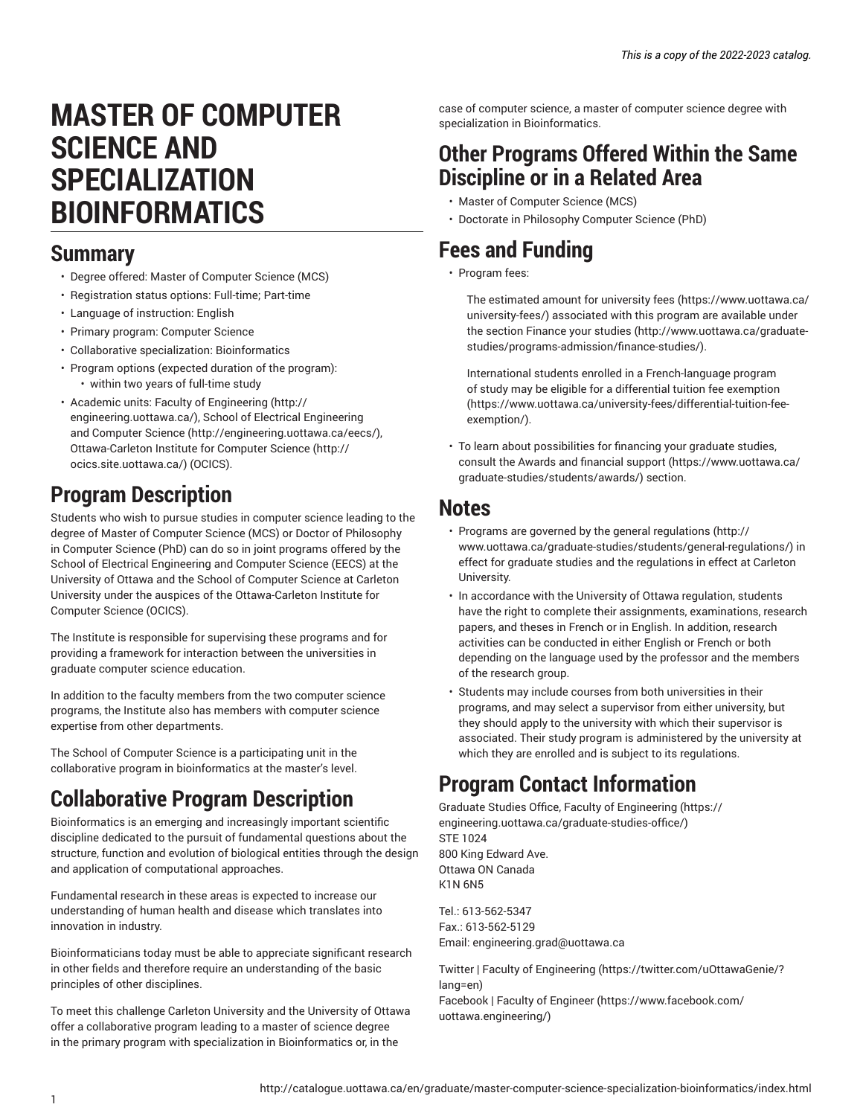# **MASTER OF COMPUTER SCIENCE AND SPECIALIZATION BIOINFORMATICS**

### **Summary**

- Degree offered: Master of Computer Science (MCS)
- Registration status options: Full-time; Part-time
- Language of instruction: English
- Primary program: Computer Science
- Collaborative specialization: Bioinformatics
- Program options (expected duration of the program): • within two years of full-time study
- Academic units: Faculty of [Engineering](http://engineering.uottawa.ca/) ([http://](http://engineering.uottawa.ca/) [engineering.uottawa.ca/\)](http://engineering.uottawa.ca/), [School of Electrical Engineering](http://engineering.uottawa.ca/eecs/) [and Computer Science](http://engineering.uottawa.ca/eecs/) (<http://engineering.uottawa.ca/eecs/>), [Ottawa-Carleton Institute for Computer Science](http://ocics.site.uottawa.ca/) ([http://](http://ocics.site.uottawa.ca/) [ocics.site.uottawa.ca/](http://ocics.site.uottawa.ca/)) (OCICS).

## **Program Description**

Students who wish to pursue studies in computer science leading to the degree of Master of Computer Science (MCS) or Doctor of Philosophy in Computer Science (PhD) can do so in joint programs offered by the School of Electrical Engineering and Computer Science (EECS) at the University of Ottawa and the School of Computer Science at Carleton University under the auspices of the Ottawa-Carleton Institute for Computer Science (OCICS).

The Institute is responsible for supervising these programs and for providing a framework for interaction between the universities in graduate computer science education.

In addition to the faculty members from the two computer science programs, the Institute also has members with computer science expertise from other departments.

The School of Computer Science is a participating unit in the collaborative program in bioinformatics at the master's level.

## **Collaborative Program Description**

Bioinformatics is an emerging and increasingly important scientific discipline dedicated to the pursuit of fundamental questions about the structure, function and evolution of biological entities through the design and application of computational approaches.

Fundamental research in these areas is expected to increase our understanding of human health and disease which translates into innovation in industry.

Bioinformaticians today must be able to appreciate significant research in other fields and therefore require an understanding of the basic principles of other disciplines.

To meet this challenge Carleton University and the University of Ottawa offer a collaborative program leading to a master of science degree in the primary program with specialization in Bioinformatics or, in the

case of computer science, a master of computer science degree with specialization in Bioinformatics.

## **Other Programs Offered Within the Same Discipline or in a Related Area**

- Master of Computer Science (MCS)
- Doctorate in Philosophy Computer Science (PhD)

## **Fees and Funding**

• Program fees:

The estimated amount for [university](https://www.uottawa.ca/university-fees/) fees ([https://www.uottawa.ca/](https://www.uottawa.ca/university-fees/) [university-fees/](https://www.uottawa.ca/university-fees/)) associated with this program are available under the section [Finance](http://www.uottawa.ca/graduate-studies/programs-admission/finance-studies/) your studies ([http://www.uottawa.ca/graduate](http://www.uottawa.ca/graduate-studies/programs-admission/finance-studies/)[studies/programs-admission/finance-studies/\)](http://www.uottawa.ca/graduate-studies/programs-admission/finance-studies/).

International students enrolled in a French-language program of study may be eligible for a [differential](https://www.uottawa.ca/university-fees/differential-tuition-fee-exemption/) tuition fee exemption [\(https://www.uottawa.ca/university-fees/differential-tuition-fee](https://www.uottawa.ca/university-fees/differential-tuition-fee-exemption/)[exemption/\)](https://www.uottawa.ca/university-fees/differential-tuition-fee-exemption/).

• To learn about possibilities for financing your graduate studies, consult the Awards and [financial](https://www.uottawa.ca/graduate-studies/students/awards/) support [\(https://www.uottawa.ca/](https://www.uottawa.ca/graduate-studies/students/awards/) [graduate-studies/students/awards/](https://www.uottawa.ca/graduate-studies/students/awards/)) section.

### **Notes**

- Programs are governed by the general [regulations](http://www.uottawa.ca/graduate-studies/students/general-regulations/) ([http://](http://www.uottawa.ca/graduate-studies/students/general-regulations/) [www.uottawa.ca/graduate-studies/students/general-regulations/](http://www.uottawa.ca/graduate-studies/students/general-regulations/)) in effect for graduate studies and the regulations in effect at Carleton University.
- In accordance with the University of Ottawa regulation, students have the right to complete their assignments, examinations, research papers, and theses in French or in English. In addition, research activities can be conducted in either English or French or both depending on the language used by the professor and the members of the research group.
- Students may include courses from both universities in their programs, and may select a supervisor from either university, but they should apply to the university with which their supervisor is associated. Their study program is administered by the university at which they are enrolled and is subject to its regulations.

# **Program Contact Information**

Graduate Studies Office, Faculty of [Engineering \(https://](https://engineering.uottawa.ca/graduate-studies-office/) [engineering.uottawa.ca/graduate-studies-office/\)](https://engineering.uottawa.ca/graduate-studies-office/) STE 1024 800 King Edward Ave. Ottawa ON Canada K1N 6N5

Tel.: 613-562-5347 Fax.: 613-562-5129 Email: [engineering.grad@uottawa.ca](mailto:engineering.grad@uottawa.ca)

Twitter | Faculty of [Engineering \(https://twitter.com/uOttawaGenie/?](https://twitter.com/uOttawaGenie/?lang=en) [lang=en](https://twitter.com/uOttawaGenie/?lang=en)) [Facebook](https://www.facebook.com/uottawa.engineering/) | Faculty of Engineer [\(https://www.facebook.com/](https://www.facebook.com/uottawa.engineering/) [uottawa.engineering/](https://www.facebook.com/uottawa.engineering/))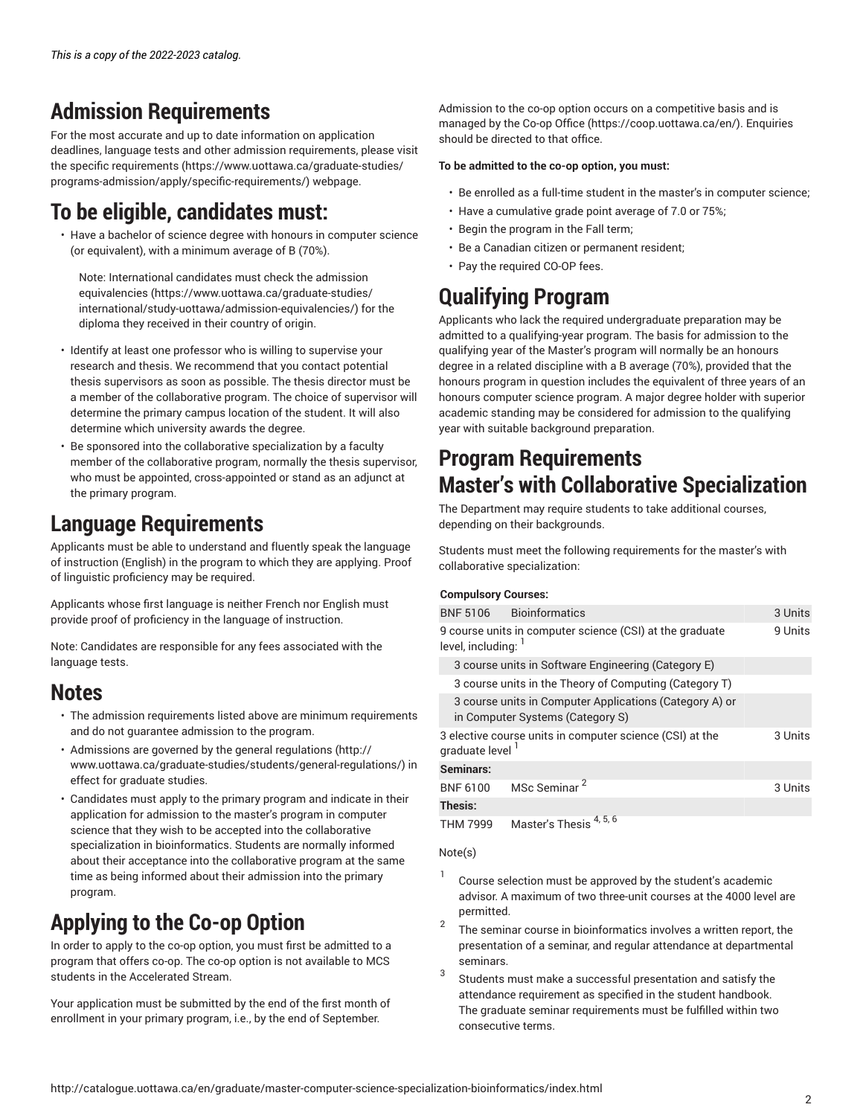## **Admission Requirements**

For the most accurate and up to date information on application deadlines, language tests and other admission requirements, please visit the specific [requirements](https://www.uottawa.ca/graduate-studies/programs-admission/apply/specific-requirements/) ([https://www.uottawa.ca/graduate-studies/](https://www.uottawa.ca/graduate-studies/programs-admission/apply/specific-requirements/) [programs-admission/apply/specific-requirements/](https://www.uottawa.ca/graduate-studies/programs-admission/apply/specific-requirements/)) webpage.

## **To be eligible, candidates must:**

• Have a bachelor of science degree with honours in computer science (or equivalent), with a minimum average of B (70%).

Note: International candidates must check the [admission](https://www.uottawa.ca/graduate-studies/international/study-uottawa/admission-equivalencies/) [equivalencies](https://www.uottawa.ca/graduate-studies/international/study-uottawa/admission-equivalencies/) ([https://www.uottawa.ca/graduate-studies/](https://www.uottawa.ca/graduate-studies/international/study-uottawa/admission-equivalencies/) [international/study-uottawa/admission-equivalencies/\)](https://www.uottawa.ca/graduate-studies/international/study-uottawa/admission-equivalencies/) for the diploma they received in their country of origin.

- Identify at least one professor who is willing to supervise your research and thesis. We recommend that you contact potential thesis supervisors as soon as possible. The thesis director must be a member of the collaborative program. The choice of supervisor will determine the primary campus location of the student. It will also determine which university awards the degree.
- Be sponsored into the collaborative specialization by a faculty member of the collaborative program, normally the thesis supervisor, who must be appointed, cross-appointed or stand as an adjunct at the primary program.

## **Language Requirements**

Applicants must be able to understand and fluently speak the language of instruction (English) in the program to which they are applying. Proof of linguistic proficiency may be required.

Applicants whose first language is neither French nor English must provide proof of proficiency in the language of instruction.

Note: Candidates are responsible for any fees associated with the language tests.

## **Notes**

- The admission requirements listed above are minimum requirements and do not guarantee admission to the program.
- Admissions are governed by the general [regulations](http://www.uottawa.ca/graduate-studies/students/general-regulations/) ([http://](http://www.uottawa.ca/graduate-studies/students/general-regulations/) [www.uottawa.ca/graduate-studies/students/general-regulations/](http://www.uottawa.ca/graduate-studies/students/general-regulations/)) in effect for graduate studies.
- Candidates must apply to the primary program and indicate in their application for admission to the master's program in computer science that they wish to be accepted into the collaborative specialization in bioinformatics. Students are normally informed about their acceptance into the collaborative program at the same time as being informed about their admission into the primary program.

# **Applying to the Co-op Option**

In order to apply to the co-op option, you must first be admitted to a program that offers co-op. The co-op option is not available to MCS students in the Accelerated Stream.

Your application must be submitted by the end of the first month of enrollment in your primary program, i.e., by the end of September.

Admission to the co-op option occurs on a competitive basis and is managed by the [Co-op Office](https://coop.uottawa.ca/en/) ([https://coop.uottawa.ca/en/\)](https://coop.uottawa.ca/en/). Enquiries should be directed to that office.

#### **To be admitted to the co-op option, you must:**

- Be enrolled as a full-time student in the master's in computer science;
- Have a cumulative grade point average of 7.0 or 75%;
- Begin the program in the Fall term;
- Be a Canadian citizen or permanent resident;
- Pay the required CO-OP fees.

# **Qualifying Program**

Applicants who lack the required undergraduate preparation may be admitted to a qualifying-year program. The basis for admission to the qualifying year of the Master's program will normally be an honours degree in a related discipline with a B average (70%), provided that the honours program in question includes the equivalent of three years of an honours computer science program. A major degree holder with superior academic standing may be considered for admission to the qualifying year with suitable background preparation.

# **Program Requirements Master's with Collaborative Specialization**

The Department may require students to take additional courses, depending on their backgrounds.

Students must meet the following requirements for the master's with collaborative specialization:

#### **Compulsory Courses:**

|                                                                                             | BNF 5106 Bioinformatics  | 3 Units |
|---------------------------------------------------------------------------------------------|--------------------------|---------|
| 9 course units in computer science (CSI) at the graduate<br>level, including: 1             |                          | 9 Units |
| 3 course units in Software Engineering (Category E)                                         |                          |         |
| 3 course units in the Theory of Computing (Category T)                                      |                          |         |
| 3 course units in Computer Applications (Category A) or<br>in Computer Systems (Category S) |                          |         |
| 3 elective course units in computer science (CSI) at the<br>graduate level <sup>1</sup>     |                          | 3 Units |
| Seminars:                                                                                   |                          |         |
| <b>BNF 6100</b>                                                                             | MSc Seminar <sup>2</sup> | 3 Units |
| Thesis:                                                                                     |                          |         |
|                                                                                             |                          |         |

THM 7999 Master's Thesis 4, 5, 6

Note(s)

- 1 Course selection must be approved by the student's academic advisor. A maximum of two three-unit courses at the 4000 level are permitted.
- 2 The seminar course in bioinformatics involves a written report, the presentation of a seminar, and regular attendance at departmental seminars.
- 3 Students must make a successful presentation and satisfy the attendance requirement as specified in the student handbook. The graduate seminar requirements must be fulfilled within two consecutive terms.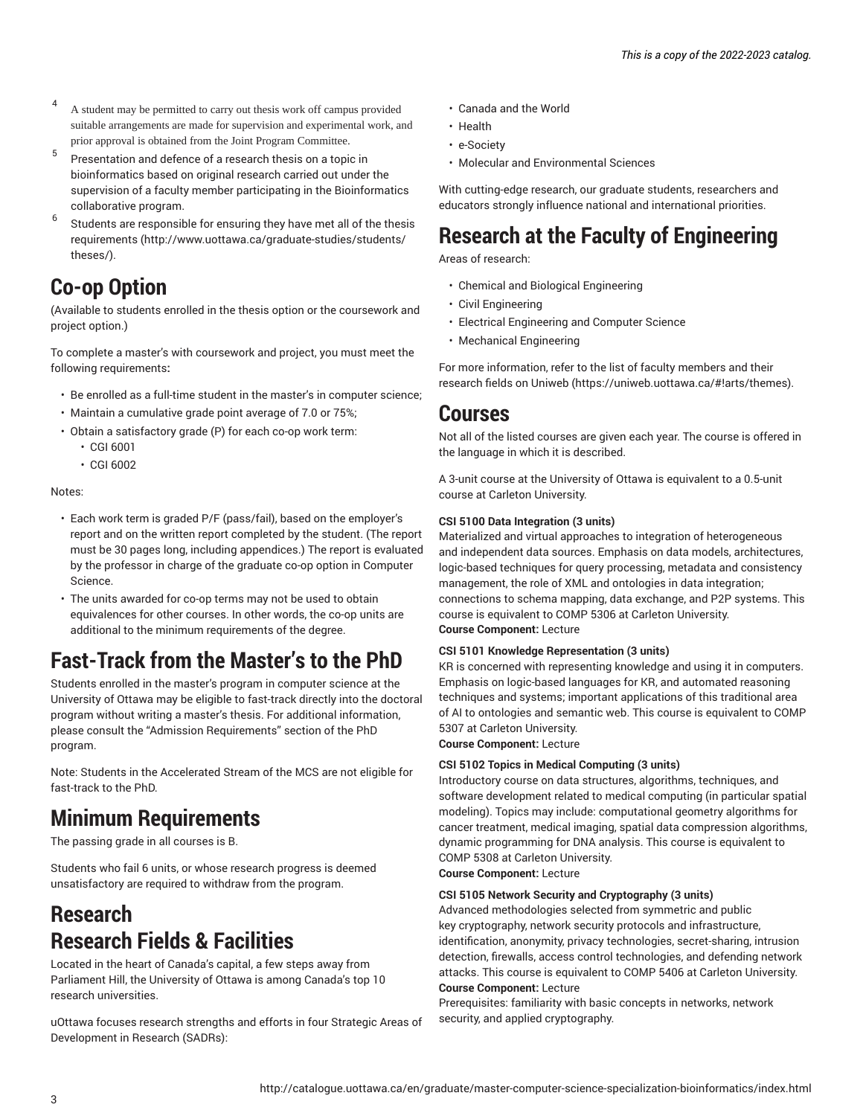- 4 A student may be permitted to carry out thesis work off campus provided suitable arrangements are made for supervision and experimental work, and prior approval is obtained from the Joint Program Committee.
- 5 Presentation and defence of a research thesis on a topic in bioinformatics based on original research carried out under the supervision of a faculty member participating in the Bioinformatics collaborative program.
- 6 Students are responsible for ensuring they have met all of the [thesis](http://www.uottawa.ca/graduate-studies/students/theses/) [requirements \(http://www.uottawa.ca/graduate-studies/students/](http://www.uottawa.ca/graduate-studies/students/theses/) [theses/\)](http://www.uottawa.ca/graduate-studies/students/theses/).

## **Co-op Option**

(Available to students enrolled in the thesis option or the coursework and project option.)

To complete a master's with coursework and project, you must meet the following requirements**:**

- Be enrolled as a full-time student in the master's in computer science;
- Maintain a cumulative grade point average of 7.0 or 75%;
- Obtain a satisfactory grade (P) for each co-op work term:
	- CGI 6001
	- CGI 6002

Notes:

- Each work term is graded P/F (pass/fail), based on the employer's report and on the written report completed by the student. (The report must be 30 pages long, including appendices.) The report is evaluated by the professor in charge of the graduate co-op option in Computer Science.
- The units awarded for co-op terms may not be used to obtain equivalences for other courses. In other words, the co-op units are additional to the minimum requirements of the degree.

## **Fast-Track from the Master's to the PhD**

Students enrolled in the master's program in computer science at the University of Ottawa may be eligible to fast-track directly into the doctoral program without writing a master's thesis. For additional information, please consult the "Admission Requirements" section of the PhD program.

Note: Students in the Accelerated Stream of the MCS are not eligible for fast-track to the PhD.

## **Minimum Requirements**

The passing grade in all courses is B.

Students who fail 6 units, or whose research progress is deemed unsatisfactory are required to withdraw from the program.

## **Research Research Fields & Facilities**

Located in the heart of Canada's capital, a few steps away from Parliament Hill, the University of Ottawa is among Canada's top 10 research universities.

uOttawa focuses research strengths and efforts in four Strategic Areas of Development in Research (SADRs):

- Canada and the World
- Health
- e-Society
- Molecular and Environmental Sciences

With cutting-edge research, our graduate students, researchers and educators strongly influence national and international priorities.

## **Research at the Faculty of Engineering**

Areas of research:

- Chemical and Biological Engineering
- Civil Engineering
- Electrical Engineering and Computer Science
- Mechanical Engineering

For more information, refer to the list of faculty members and their research fields on [Uniweb \(https://uniweb.uottawa.ca/#!arts/themes\)](https://uniweb.uottawa.ca/#!arts/themes).

### **Courses**

Not all of the listed courses are given each year. The course is offered in the language in which it is described.

A 3-unit course at the University of Ottawa is equivalent to a 0.5-unit course at Carleton University.

#### **CSI 5100 Data Integration (3 units)**

Materialized and virtual approaches to integration of heterogeneous and independent data sources. Emphasis on data models, architectures, logic-based techniques for query processing, metadata and consistency management, the role of XML and ontologies in data integration; connections to schema mapping, data exchange, and P2P systems. This course is equivalent to COMP 5306 at Carleton University. **Course Component:** Lecture

#### **CSI 5101 Knowledge Representation (3 units)**

KR is concerned with representing knowledge and using it in computers. Emphasis on logic-based languages for KR, and automated reasoning techniques and systems; important applications of this traditional area of AI to ontologies and semantic web. This course is equivalent to COMP 5307 at Carleton University.

**Course Component:** Lecture

#### **CSI 5102 Topics in Medical Computing (3 units)**

Introductory course on data structures, algorithms, techniques, and software development related to medical computing (in particular spatial modeling). Topics may include: computational geometry algorithms for cancer treatment, medical imaging, spatial data compression algorithms, dynamic programming for DNA analysis. This course is equivalent to COMP 5308 at Carleton University.

**Course Component:** Lecture

#### **CSI 5105 Network Security and Cryptography (3 units)**

Advanced methodologies selected from symmetric and public key cryptography, network security protocols and infrastructure, identification, anonymity, privacy technologies, secret-sharing, intrusion detection, firewalls, access control technologies, and defending network attacks. This course is equivalent to COMP 5406 at Carleton University. **Course Component:** Lecture

Prerequisites: familiarity with basic concepts in networks, network security, and applied cryptography.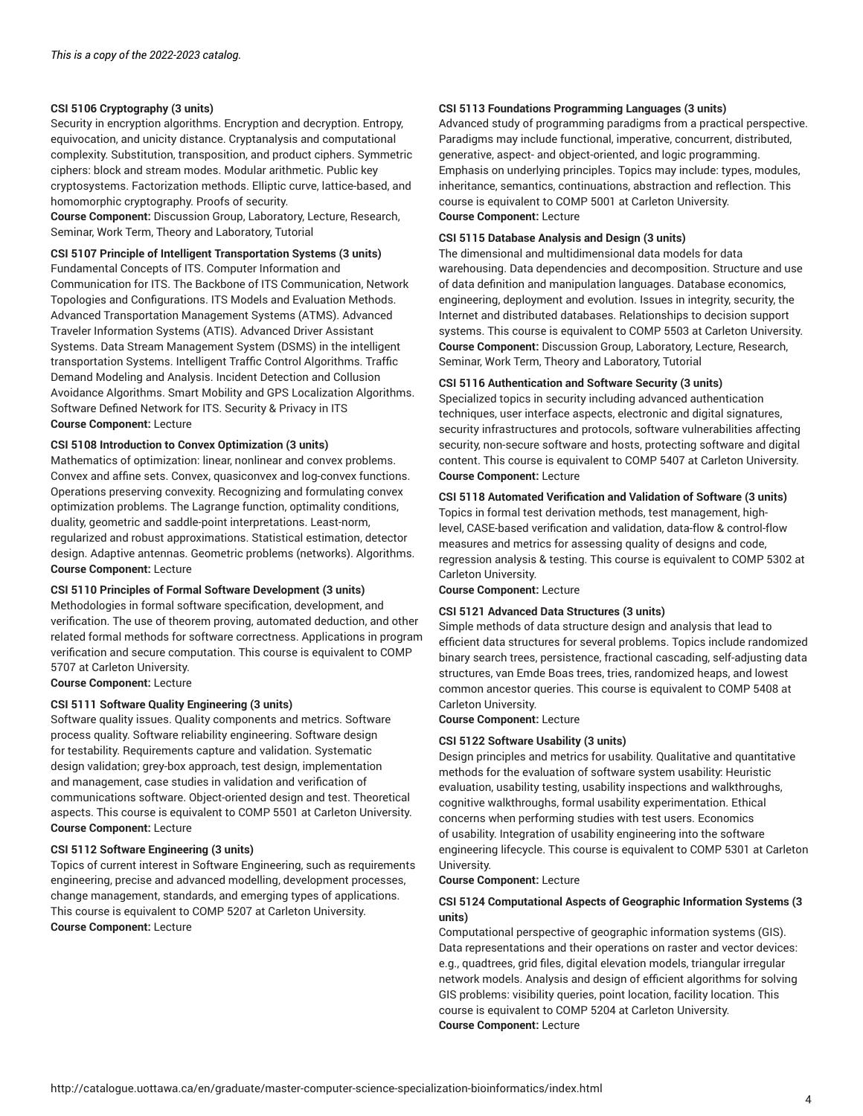#### **CSI 5106 Cryptography (3 units)**

Security in encryption algorithms. Encryption and decryption. Entropy, equivocation, and unicity distance. Cryptanalysis and computational complexity. Substitution, transposition, and product ciphers. Symmetric ciphers: block and stream modes. Modular arithmetic. Public key cryptosystems. Factorization methods. Elliptic curve, lattice-based, and homomorphic cryptography. Proofs of security.

**Course Component:** Discussion Group, Laboratory, Lecture, Research, Seminar, Work Term, Theory and Laboratory, Tutorial

### **CSI 5107 Principle of Intelligent Transportation Systems (3 units)**

Fundamental Concepts of ITS. Computer Information and Communication for ITS. The Backbone of ITS Communication, Network Topologies and Configurations. ITS Models and Evaluation Methods. Advanced Transportation Management Systems (ATMS). Advanced Traveler Information Systems (ATIS). Advanced Driver Assistant Systems. Data Stream Management System (DSMS) in the intelligent transportation Systems. Intelligent Traffic Control Algorithms. Traffic Demand Modeling and Analysis. Incident Detection and Collusion Avoidance Algorithms. Smart Mobility and GPS Localization Algorithms. Software Defined Network for ITS. Security & Privacy in ITS **Course Component:** Lecture

#### **CSI 5108 Introduction to Convex Optimization (3 units)**

Mathematics of optimization: linear, nonlinear and convex problems. Convex and affine sets. Convex, quasiconvex and log-convex functions. Operations preserving convexity. Recognizing and formulating convex optimization problems. The Lagrange function, optimality conditions, duality, geometric and saddle-point interpretations. Least-norm, regularized and robust approximations. Statistical estimation, detector design. Adaptive antennas. Geometric problems (networks). Algorithms. **Course Component:** Lecture

#### **CSI 5110 Principles of Formal Software Development (3 units)**

Methodologies in formal software specification, development, and verification. The use of theorem proving, automated deduction, and other related formal methods for software correctness. Applications in program verification and secure computation. This course is equivalent to COMP 5707 at Carleton University.

**Course Component:** Lecture

#### **CSI 5111 Software Quality Engineering (3 units)**

Software quality issues. Quality components and metrics. Software process quality. Software reliability engineering. Software design for testability. Requirements capture and validation. Systematic design validation; grey-box approach, test design, implementation and management, case studies in validation and verification of communications software. Object-oriented design and test. Theoretical aspects. This course is equivalent to COMP 5501 at Carleton University. **Course Component:** Lecture

#### **CSI 5112 Software Engineering (3 units)**

Topics of current interest in Software Engineering, such as requirements engineering, precise and advanced modelling, development processes, change management, standards, and emerging types of applications. This course is equivalent to COMP 5207 at Carleton University. **Course Component:** Lecture

#### **CSI 5113 Foundations Programming Languages (3 units)**

Advanced study of programming paradigms from a practical perspective. Paradigms may include functional, imperative, concurrent, distributed, generative, aspect- and object-oriented, and logic programming. Emphasis on underlying principles. Topics may include: types, modules, inheritance, semantics, continuations, abstraction and reflection. This course is equivalent to COMP 5001 at Carleton University. **Course Component:** Lecture

#### **CSI 5115 Database Analysis and Design (3 units)**

The dimensional and multidimensional data models for data warehousing. Data dependencies and decomposition. Structure and use of data definition and manipulation languages. Database economics, engineering, deployment and evolution. Issues in integrity, security, the Internet and distributed databases. Relationships to decision support systems. This course is equivalent to COMP 5503 at Carleton University. **Course Component:** Discussion Group, Laboratory, Lecture, Research, Seminar, Work Term, Theory and Laboratory, Tutorial

#### **CSI 5116 Authentication and Software Security (3 units)**

Specialized topics in security including advanced authentication techniques, user interface aspects, electronic and digital signatures, security infrastructures and protocols, software vulnerabilities affecting security, non-secure software and hosts, protecting software and digital content. This course is equivalent to COMP 5407 at Carleton University. **Course Component:** Lecture

#### **CSI 5118 Automated Verification and Validation of Software (3 units)**

Topics in formal test derivation methods, test management, highlevel, CASE-based verification and validation, data-flow & control-flow measures and metrics for assessing quality of designs and code, regression analysis & testing. This course is equivalent to COMP 5302 at Carleton University.

**Course Component:** Lecture

#### **CSI 5121 Advanced Data Structures (3 units)**

Simple methods of data structure design and analysis that lead to efficient data structures for several problems. Topics include randomized binary search trees, persistence, fractional cascading, self-adjusting data structures, van Emde Boas trees, tries, randomized heaps, and lowest common ancestor queries. This course is equivalent to COMP 5408 at Carleton University.

**Course Component:** Lecture

#### **CSI 5122 Software Usability (3 units)**

Design principles and metrics for usability. Qualitative and quantitative methods for the evaluation of software system usability: Heuristic evaluation, usability testing, usability inspections and walkthroughs, cognitive walkthroughs, formal usability experimentation. Ethical concerns when performing studies with test users. Economics of usability. Integration of usability engineering into the software engineering lifecycle. This course is equivalent to COMP 5301 at Carleton University.

#### **Course Component:** Lecture

#### **CSI 5124 Computational Aspects of Geographic Information Systems (3 units)**

Computational perspective of geographic information systems (GIS). Data representations and their operations on raster and vector devices: e.g., quadtrees, grid files, digital elevation models, triangular irregular network models. Analysis and design of efficient algorithms for solving GIS problems: visibility queries, point location, facility location. This course is equivalent to COMP 5204 at Carleton University. **Course Component:** Lecture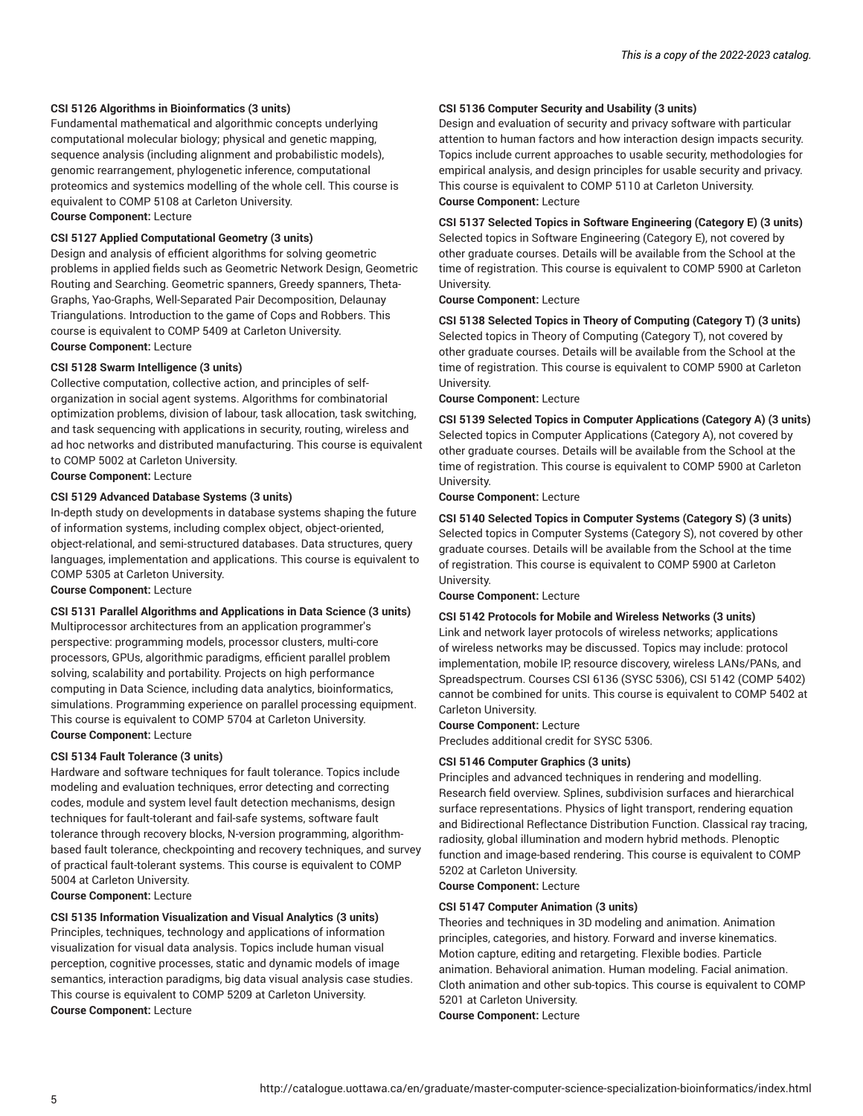#### **CSI 5126 Algorithms in Bioinformatics (3 units)**

Fundamental mathematical and algorithmic concepts underlying computational molecular biology; physical and genetic mapping, sequence analysis (including alignment and probabilistic models), genomic rearrangement, phylogenetic inference, computational proteomics and systemics modelling of the whole cell. This course is equivalent to COMP 5108 at Carleton University.

**Course Component:** Lecture

#### **CSI 5127 Applied Computational Geometry (3 units)**

Design and analysis of efficient algorithms for solving geometric problems in applied fields such as Geometric Network Design, Geometric Routing and Searching. Geometric spanners, Greedy spanners, Theta-Graphs, Yao-Graphs, Well-Separated Pair Decomposition, Delaunay Triangulations. Introduction to the game of Cops and Robbers. This course is equivalent to COMP 5409 at Carleton University. **Course Component:** Lecture

#### **CSI 5128 Swarm Intelligence (3 units)**

Collective computation, collective action, and principles of selforganization in social agent systems. Algorithms for combinatorial optimization problems, division of labour, task allocation, task switching, and task sequencing with applications in security, routing, wireless and ad hoc networks and distributed manufacturing. This course is equivalent to COMP 5002 at Carleton University. **Course Component:** Lecture

#### **CSI 5129 Advanced Database Systems (3 units)**

In-depth study on developments in database systems shaping the future of information systems, including complex object, object-oriented, object-relational, and semi-structured databases. Data structures, query languages, implementation and applications. This course is equivalent to COMP 5305 at Carleton University.

**Course Component:** Lecture

#### **CSI 5131 Parallel Algorithms and Applications in Data Science (3 units)**

Multiprocessor architectures from an application programmer's perspective: programming models, processor clusters, multi-core processors, GPUs, algorithmic paradigms, efficient parallel problem solving, scalability and portability. Projects on high performance computing in Data Science, including data analytics, bioinformatics, simulations. Programming experience on parallel processing equipment. This course is equivalent to COMP 5704 at Carleton University. **Course Component:** Lecture

#### **CSI 5134 Fault Tolerance (3 units)**

Hardware and software techniques for fault tolerance. Topics include modeling and evaluation techniques, error detecting and correcting codes, module and system level fault detection mechanisms, design techniques for fault-tolerant and fail-safe systems, software fault tolerance through recovery blocks, N-version programming, algorithmbased fault tolerance, checkpointing and recovery techniques, and survey of practical fault-tolerant systems. This course is equivalent to COMP 5004 at Carleton University.

**Course Component:** Lecture

#### **CSI 5135 Information Visualization and Visual Analytics (3 units)** Principles, techniques, technology and applications of information visualization for visual data analysis. Topics include human visual perception, cognitive processes, static and dynamic models of image semantics, interaction paradigms, big data visual analysis case studies. This course is equivalent to COMP 5209 at Carleton University.

**Course Component:** Lecture

#### **CSI 5136 Computer Security and Usability (3 units)**

Design and evaluation of security and privacy software with particular attention to human factors and how interaction design impacts security. Topics include current approaches to usable security, methodologies for empirical analysis, and design principles for usable security and privacy. This course is equivalent to COMP 5110 at Carleton University. **Course Component:** Lecture

#### **CSI 5137 Selected Topics in Software Engineering (Category E) (3 units)** Selected topics in Software Engineering (Category E), not covered by other graduate courses. Details will be available from the School at the

time of registration. This course is equivalent to COMP 5900 at Carleton University.

**Course Component:** Lecture

#### **CSI 5138 Selected Topics in Theory of Computing (Category T) (3 units)** Selected topics in Theory of Computing (Category T), not covered by other graduate courses. Details will be available from the School at the time of registration. This course is equivalent to COMP 5900 at Carleton University.

**Course Component:** Lecture

**CSI 5139 Selected Topics in Computer Applications (Category A) (3 units)** Selected topics in Computer Applications (Category A), not covered by other graduate courses. Details will be available from the School at the time of registration. This course is equivalent to COMP 5900 at Carleton University.

#### **Course Component:** Lecture

#### **CSI 5140 Selected Topics in Computer Systems (Category S) (3 units)**

Selected topics in Computer Systems (Category S), not covered by other graduate courses. Details will be available from the School at the time of registration. This course is equivalent to COMP 5900 at Carleton University.

**Course Component:** Lecture

#### **CSI 5142 Protocols for Mobile and Wireless Networks (3 units)**

Link and network layer protocols of wireless networks; applications of wireless networks may be discussed. Topics may include: protocol implementation, mobile IP, resource discovery, wireless LANs/PANs, and Spreadspectrum. Courses CSI 6136 (SYSC 5306), CSI 5142 (COMP 5402) cannot be combined for units. This course is equivalent to COMP 5402 at Carleton University.

#### **Course Component:** Lecture

Precludes additional credit for SYSC 5306.

#### **CSI 5146 Computer Graphics (3 units)**

Principles and advanced techniques in rendering and modelling. Research field overview. Splines, subdivision surfaces and hierarchical surface representations. Physics of light transport, rendering equation and Bidirectional Reflectance Distribution Function. Classical ray tracing, radiosity, global illumination and modern hybrid methods. Plenoptic function and image-based rendering. This course is equivalent to COMP 5202 at Carleton University.

**Course Component:** Lecture

#### **CSI 5147 Computer Animation (3 units)**

Theories and techniques in 3D modeling and animation. Animation principles, categories, and history. Forward and inverse kinematics. Motion capture, editing and retargeting. Flexible bodies. Particle animation. Behavioral animation. Human modeling. Facial animation. Cloth animation and other sub-topics. This course is equivalent to COMP 5201 at Carleton University. **Course Component:** Lecture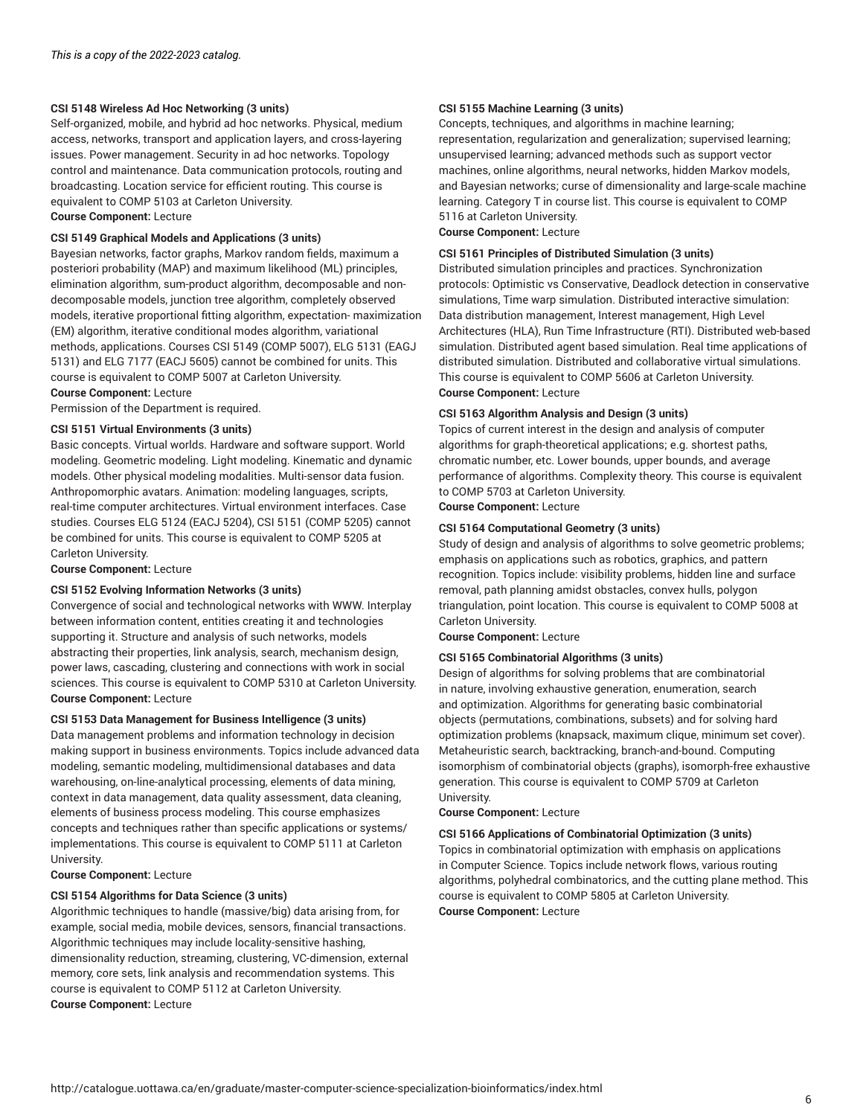#### **CSI 5148 Wireless Ad Hoc Networking (3 units)**

Self-organized, mobile, and hybrid ad hoc networks. Physical, medium access, networks, transport and application layers, and cross-layering issues. Power management. Security in ad hoc networks. Topology control and maintenance. Data communication protocols, routing and broadcasting. Location service for efficient routing. This course is equivalent to COMP 5103 at Carleton University.

**Course Component:** Lecture

#### **CSI 5149 Graphical Models and Applications (3 units)**

Bayesian networks, factor graphs, Markov random fields, maximum a posteriori probability (MAP) and maximum likelihood (ML) principles, elimination algorithm, sum-product algorithm, decomposable and nondecomposable models, junction tree algorithm, completely observed models, iterative proportional fitting algorithm, expectation- maximization (EM) algorithm, iterative conditional modes algorithm, variational methods, applications. Courses CSI 5149 (COMP 5007), ELG 5131 (EAGJ 5131) and ELG 7177 (EACJ 5605) cannot be combined for units. This course is equivalent to COMP 5007 at Carleton University.

**Course Component:** Lecture

Permission of the Department is required.

#### **CSI 5151 Virtual Environments (3 units)**

Basic concepts. Virtual worlds. Hardware and software support. World modeling. Geometric modeling. Light modeling. Kinematic and dynamic models. Other physical modeling modalities. Multi-sensor data fusion. Anthropomorphic avatars. Animation: modeling languages, scripts, real-time computer architectures. Virtual environment interfaces. Case studies. Courses ELG 5124 (EACJ 5204), CSI 5151 (COMP 5205) cannot be combined for units. This course is equivalent to COMP 5205 at Carleton University.

**Course Component:** Lecture

#### **CSI 5152 Evolving Information Networks (3 units)**

Convergence of social and technological networks with WWW. Interplay between information content, entities creating it and technologies supporting it. Structure and analysis of such networks, models abstracting their properties, link analysis, search, mechanism design, power laws, cascading, clustering and connections with work in social sciences. This course is equivalent to COMP 5310 at Carleton University. **Course Component:** Lecture

#### **CSI 5153 Data Management for Business Intelligence (3 units)**

Data management problems and information technology in decision making support in business environments. Topics include advanced data modeling, semantic modeling, multidimensional databases and data warehousing, on-line-analytical processing, elements of data mining, context in data management, data quality assessment, data cleaning, elements of business process modeling. This course emphasizes concepts and techniques rather than specific applications or systems/ implementations. This course is equivalent to COMP 5111 at Carleton University.

**Course Component:** Lecture

#### **CSI 5154 Algorithms for Data Science (3 units)**

Algorithmic techniques to handle (massive/big) data arising from, for example, social media, mobile devices, sensors, financial transactions. Algorithmic techniques may include locality-sensitive hashing, dimensionality reduction, streaming, clustering, VC-dimension, external memory, core sets, link analysis and recommendation systems. This course is equivalent to COMP 5112 at Carleton University. **Course Component:** Lecture

#### **CSI 5155 Machine Learning (3 units)**

Concepts, techniques, and algorithms in machine learning; representation, regularization and generalization; supervised learning; unsupervised learning; advanced methods such as support vector machines, online algorithms, neural networks, hidden Markov models, and Bayesian networks; curse of dimensionality and large-scale machine learning. Category T in course list. This course is equivalent to COMP 5116 at Carleton University.

**Course Component:** Lecture

#### **CSI 5161 Principles of Distributed Simulation (3 units)**

Distributed simulation principles and practices. Synchronization protocols: Optimistic vs Conservative, Deadlock detection in conservative simulations, Time warp simulation. Distributed interactive simulation: Data distribution management, Interest management, High Level Architectures (HLA), Run Time Infrastructure (RTI). Distributed web-based simulation. Distributed agent based simulation. Real time applications of distributed simulation. Distributed and collaborative virtual simulations. This course is equivalent to COMP 5606 at Carleton University. **Course Component:** Lecture

#### **CSI 5163 Algorithm Analysis and Design (3 units)**

Topics of current interest in the design and analysis of computer algorithms for graph-theoretical applications; e.g. shortest paths, chromatic number, etc. Lower bounds, upper bounds, and average performance of algorithms. Complexity theory. This course is equivalent to COMP 5703 at Carleton University.

**Course Component:** Lecture

#### **CSI 5164 Computational Geometry (3 units)**

Study of design and analysis of algorithms to solve geometric problems; emphasis on applications such as robotics, graphics, and pattern recognition. Topics include: visibility problems, hidden line and surface removal, path planning amidst obstacles, convex hulls, polygon triangulation, point location. This course is equivalent to COMP 5008 at Carleton University.

**Course Component:** Lecture

#### **CSI 5165 Combinatorial Algorithms (3 units)**

Design of algorithms for solving problems that are combinatorial in nature, involving exhaustive generation, enumeration, search and optimization. Algorithms for generating basic combinatorial objects (permutations, combinations, subsets) and for solving hard optimization problems (knapsack, maximum clique, minimum set cover). Metaheuristic search, backtracking, branch-and-bound. Computing isomorphism of combinatorial objects (graphs), isomorph-free exhaustive generation. This course is equivalent to COMP 5709 at Carleton University.

**Course Component:** Lecture

#### **CSI 5166 Applications of Combinatorial Optimization (3 units)**

Topics in combinatorial optimization with emphasis on applications in Computer Science. Topics include network flows, various routing algorithms, polyhedral combinatorics, and the cutting plane method. This course is equivalent to COMP 5805 at Carleton University. **Course Component:** Lecture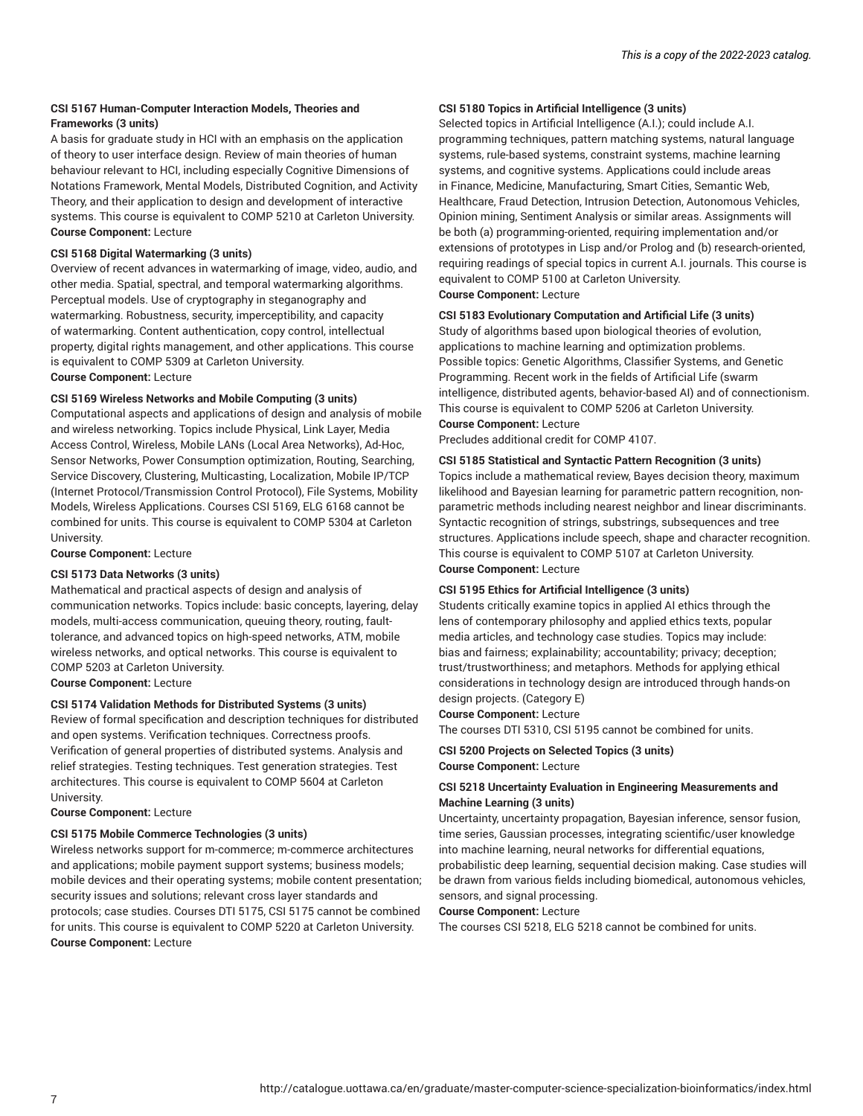#### **CSI 5167 Human-Computer Interaction Models, Theories and Frameworks (3 units)**

A basis for graduate study in HCI with an emphasis on the application of theory to user interface design. Review of main theories of human behaviour relevant to HCI, including especially Cognitive Dimensions of Notations Framework, Mental Models, Distributed Cognition, and Activity Theory, and their application to design and development of interactive systems. This course is equivalent to COMP 5210 at Carleton University. **Course Component:** Lecture

#### **CSI 5168 Digital Watermarking (3 units)**

Overview of recent advances in watermarking of image, video, audio, and other media. Spatial, spectral, and temporal watermarking algorithms. Perceptual models. Use of cryptography in steganography and watermarking. Robustness, security, imperceptibility, and capacity of watermarking. Content authentication, copy control, intellectual property, digital rights management, and other applications. This course is equivalent to COMP 5309 at Carleton University.

**Course Component:** Lecture

#### **CSI 5169 Wireless Networks and Mobile Computing (3 units)**

Computational aspects and applications of design and analysis of mobile and wireless networking. Topics include Physical, Link Layer, Media Access Control, Wireless, Mobile LANs (Local Area Networks), Ad-Hoc, Sensor Networks, Power Consumption optimization, Routing, Searching, Service Discovery, Clustering, Multicasting, Localization, Mobile IP/TCP (Internet Protocol/Transmission Control Protocol), File Systems, Mobility Models, Wireless Applications. Courses CSI 5169, ELG 6168 cannot be combined for units. This course is equivalent to COMP 5304 at Carleton University.

**Course Component:** Lecture

#### **CSI 5173 Data Networks (3 units)**

Mathematical and practical aspects of design and analysis of communication networks. Topics include: basic concepts, layering, delay models, multi-access communication, queuing theory, routing, faulttolerance, and advanced topics on high-speed networks, ATM, mobile wireless networks, and optical networks. This course is equivalent to COMP 5203 at Carleton University.

**Course Component:** Lecture

#### **CSI 5174 Validation Methods for Distributed Systems (3 units)**

Review of formal specification and description techniques for distributed and open systems. Verification techniques. Correctness proofs. Verification of general properties of distributed systems. Analysis and relief strategies. Testing techniques. Test generation strategies. Test architectures. This course is equivalent to COMP 5604 at Carleton University.

**Course Component:** Lecture

#### **CSI 5175 Mobile Commerce Technologies (3 units)**

Wireless networks support for m-commerce; m-commerce architectures and applications; mobile payment support systems; business models; mobile devices and their operating systems; mobile content presentation; security issues and solutions; relevant cross layer standards and protocols; case studies. Courses DTI 5175, CSI 5175 cannot be combined for units. This course is equivalent to COMP 5220 at Carleton University. **Course Component:** Lecture

#### **CSI 5180 Topics in Artificial Intelligence (3 units)**

Selected topics in Artificial Intelligence (A.I.); could include A.I. programming techniques, pattern matching systems, natural language systems, rule-based systems, constraint systems, machine learning systems, and cognitive systems. Applications could include areas in Finance, Medicine, Manufacturing, Smart Cities, Semantic Web, Healthcare, Fraud Detection, Intrusion Detection, Autonomous Vehicles, Opinion mining, Sentiment Analysis or similar areas. Assignments will be both (a) programming-oriented, requiring implementation and/or extensions of prototypes in Lisp and/or Prolog and (b) research-oriented, requiring readings of special topics in current A.I. journals. This course is equivalent to COMP 5100 at Carleton University. **Course Component:** Lecture

#### **CSI 5183 Evolutionary Computation and Artificial Life (3 units)**

Study of algorithms based upon biological theories of evolution, applications to machine learning and optimization problems. Possible topics: Genetic Algorithms, Classifier Systems, and Genetic Programming. Recent work in the fields of Artificial Life (swarm intelligence, distributed agents, behavior-based AI) and of connectionism. This course is equivalent to COMP 5206 at Carleton University.

#### **Course Component:** Lecture

Precludes additional credit for COMP 4107.

#### **CSI 5185 Statistical and Syntactic Pattern Recognition (3 units)**

Topics include a mathematical review, Bayes decision theory, maximum likelihood and Bayesian learning for parametric pattern recognition, nonparametric methods including nearest neighbor and linear discriminants. Syntactic recognition of strings, substrings, subsequences and tree structures. Applications include speech, shape and character recognition. This course is equivalent to COMP 5107 at Carleton University. **Course Component:** Lecture

#### **CSI 5195 Ethics for Artificial Intelligence (3 units)**

Students critically examine topics in applied AI ethics through the lens of contemporary philosophy and applied ethics texts, popular media articles, and technology case studies. Topics may include: bias and fairness; explainability; accountability; privacy; deception; trust/trustworthiness; and metaphors. Methods for applying ethical considerations in technology design are introduced through hands-on design projects. (Category E)

#### **Course Component:** Lecture

The courses DTI 5310, CSI 5195 cannot be combined for units.

#### **CSI 5200 Projects on Selected Topics (3 units) Course Component:** Lecture

#### **CSI 5218 Uncertainty Evaluation in Engineering Measurements and Machine Learning (3 units)**

Uncertainty, uncertainty propagation, Bayesian inference, sensor fusion, time series, Gaussian processes, integrating scientific/user knowledge into machine learning, neural networks for differential equations, probabilistic deep learning, sequential decision making. Case studies will be drawn from various fields including biomedical, autonomous vehicles, sensors, and signal processing.

#### **Course Component:** Lecture

The courses CSI 5218, ELG 5218 cannot be combined for units.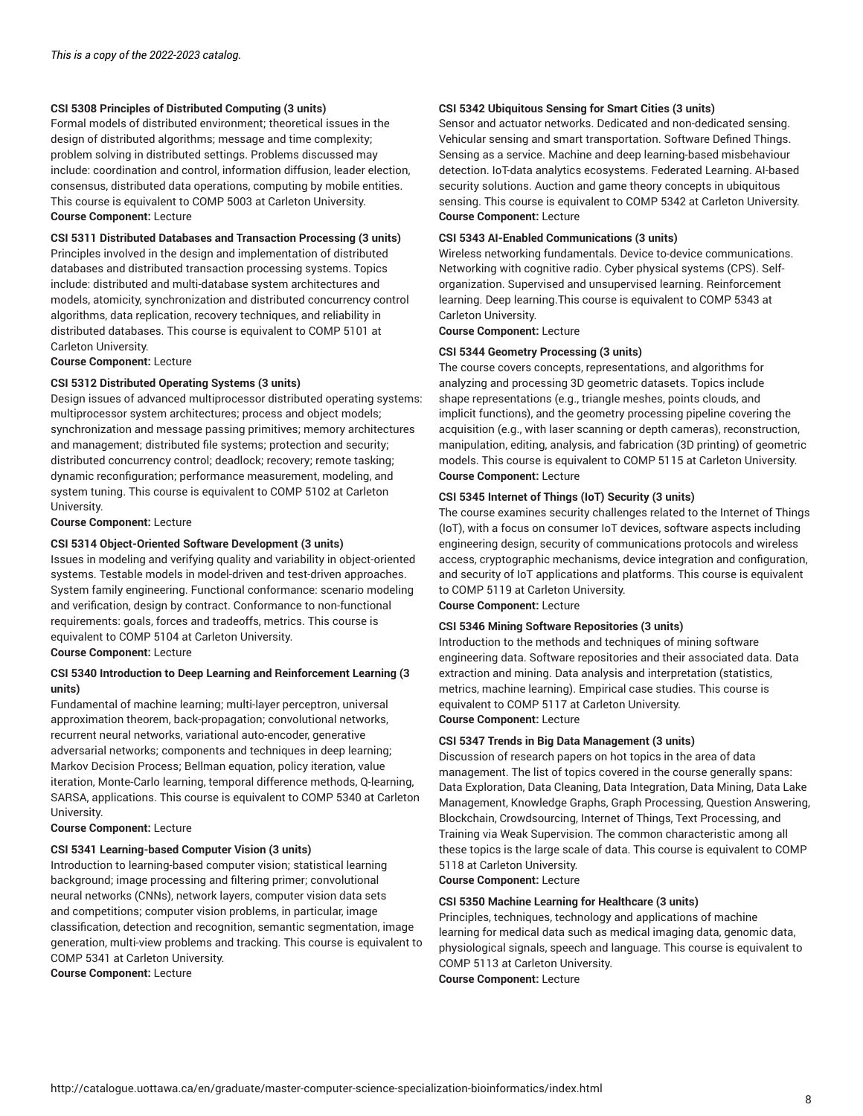#### **CSI 5308 Principles of Distributed Computing (3 units)**

Formal models of distributed environment; theoretical issues in the design of distributed algorithms; message and time complexity; problem solving in distributed settings. Problems discussed may include: coordination and control, information diffusion, leader election, consensus, distributed data operations, computing by mobile entities. This course is equivalent to COMP 5003 at Carleton University. **Course Component:** Lecture

**CSI 5311 Distributed Databases and Transaction Processing (3 units)**

Principles involved in the design and implementation of distributed databases and distributed transaction processing systems. Topics include: distributed and multi-database system architectures and models, atomicity, synchronization and distributed concurrency control algorithms, data replication, recovery techniques, and reliability in distributed databases. This course is equivalent to COMP 5101 at Carleton University.

**Course Component:** Lecture

#### **CSI 5312 Distributed Operating Systems (3 units)**

Design issues of advanced multiprocessor distributed operating systems: multiprocessor system architectures; process and object models; synchronization and message passing primitives; memory architectures and management; distributed file systems; protection and security; distributed concurrency control; deadlock; recovery; remote tasking; dynamic reconfiguration; performance measurement, modeling, and system tuning. This course is equivalent to COMP 5102 at Carleton University.

**Course Component:** Lecture

#### **CSI 5314 Object-Oriented Software Development (3 units)**

Issues in modeling and verifying quality and variability in object-oriented systems. Testable models in model-driven and test-driven approaches. System family engineering. Functional conformance: scenario modeling and verification, design by contract. Conformance to non-functional requirements: goals, forces and tradeoffs, metrics. This course is equivalent to COMP 5104 at Carleton University. **Course Component:** Lecture

**CSI 5340 Introduction to Deep Learning and Reinforcement Learning (3**

#### **units)**

Fundamental of machine learning; multi-layer perceptron, universal approximation theorem, back-propagation; convolutional networks, recurrent neural networks, variational auto-encoder, generative adversarial networks; components and techniques in deep learning; Markov Decision Process; Bellman equation, policy iteration, value iteration, Monte-Carlo learning, temporal difference methods, Q-learning, SARSA, applications. This course is equivalent to COMP 5340 at Carleton University.

**Course Component:** Lecture

#### **CSI 5341 Learning-based Computer Vision (3 units)**

Introduction to learning-based computer vision; statistical learning background; image processing and filtering primer; convolutional neural networks (CNNs), network layers, computer vision data sets and competitions; computer vision problems, in particular, image classification, detection and recognition, semantic segmentation, image generation, multi-view problems and tracking. This course is equivalent to COMP 5341 at Carleton University.

**Course Component:** Lecture

#### **CSI 5342 Ubiquitous Sensing for Smart Cities (3 units)**

Sensor and actuator networks. Dedicated and non-dedicated sensing. Vehicular sensing and smart transportation. Software Defined Things. Sensing as a service. Machine and deep learning-based misbehaviour detection. IoT-data analytics ecosystems. Federated Learning. AI-based security solutions. Auction and game theory concepts in ubiquitous sensing. This course is equivalent to COMP 5342 at Carleton University. **Course Component:** Lecture

#### **CSI 5343 AI-Enabled Communications (3 units)**

Wireless networking fundamentals. Device to-device communications. Networking with cognitive radio. Cyber physical systems (CPS). Selforganization. Supervised and unsupervised learning. Reinforcement learning. Deep learning.This course is equivalent to COMP 5343 at Carleton University.

**Course Component:** Lecture

#### **CSI 5344 Geometry Processing (3 units)**

The course covers concepts, representations, and algorithms for analyzing and processing 3D geometric datasets. Topics include shape representations (e.g., triangle meshes, points clouds, and implicit functions), and the geometry processing pipeline covering the acquisition (e.g., with laser scanning or depth cameras), reconstruction, manipulation, editing, analysis, and fabrication (3D printing) of geometric models. This course is equivalent to COMP 5115 at Carleton University. **Course Component:** Lecture

#### **CSI 5345 Internet of Things (IoT) Security (3 units)**

The course examines security challenges related to the Internet of Things (IoT), with a focus on consumer IoT devices, software aspects including engineering design, security of communications protocols and wireless access, cryptographic mechanisms, device integration and configuration, and security of IoT applications and platforms. This course is equivalent to COMP 5119 at Carleton University.

**Course Component:** Lecture

#### **CSI 5346 Mining Software Repositories (3 units)**

Introduction to the methods and techniques of mining software engineering data. Software repositories and their associated data. Data extraction and mining. Data analysis and interpretation (statistics, metrics, machine learning). Empirical case studies. This course is equivalent to COMP 5117 at Carleton University. **Course Component:** Lecture

#### **CSI 5347 Trends in Big Data Management (3 units)**

Discussion of research papers on hot topics in the area of data management. The list of topics covered in the course generally spans: Data Exploration, Data Cleaning, Data Integration, Data Mining, Data Lake Management, Knowledge Graphs, Graph Processing, Question Answering, Blockchain, Crowdsourcing, Internet of Things, Text Processing, and Training via Weak Supervision. The common characteristic among all these topics is the large scale of data. This course is equivalent to COMP 5118 at Carleton University.

**Course Component:** Lecture

#### **CSI 5350 Machine Learning for Healthcare (3 units)**

Principles, techniques, technology and applications of machine learning for medical data such as medical imaging data, genomic data, physiological signals, speech and language. This course is equivalent to COMP 5113 at Carleton University. **Course Component:** Lecture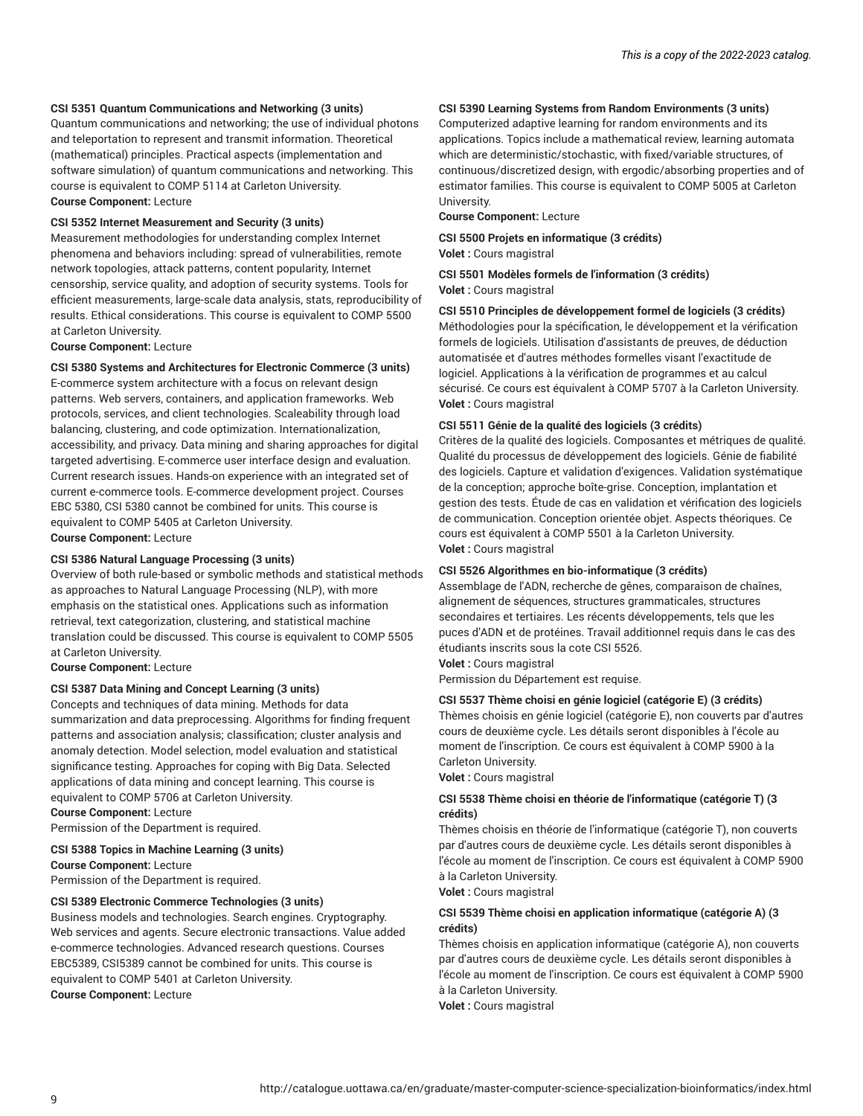#### **CSI 5351 Quantum Communications and Networking (3 units)**

Quantum communications and networking; the use of individual photons and teleportation to represent and transmit information. Theoretical (mathematical) principles. Practical aspects (implementation and software simulation) of quantum communications and networking. This course is equivalent to COMP 5114 at Carleton University. **Course Component:** Lecture

#### **CSI 5352 Internet Measurement and Security (3 units)**

Measurement methodologies for understanding complex Internet phenomena and behaviors including: spread of vulnerabilities, remote network topologies, attack patterns, content popularity, Internet censorship, service quality, and adoption of security systems. Tools for efficient measurements, large-scale data analysis, stats, reproducibility of results. Ethical considerations. This course is equivalent to COMP 5500 at Carleton University.

**Course Component:** Lecture

#### **CSI 5380 Systems and Architectures for Electronic Commerce (3 units)**

E-commerce system architecture with a focus on relevant design patterns. Web servers, containers, and application frameworks. Web protocols, services, and client technologies. Scaleability through load balancing, clustering, and code optimization. Internationalization, accessibility, and privacy. Data mining and sharing approaches for digital targeted advertising. E-commerce user interface design and evaluation. Current research issues. Hands-on experience with an integrated set of current e-commerce tools. E-commerce development project. Courses EBC 5380, CSI 5380 cannot be combined for units. This course is equivalent to COMP 5405 at Carleton University.

**Course Component:** Lecture

#### **CSI 5386 Natural Language Processing (3 units)**

Overview of both rule-based or symbolic methods and statistical methods as approaches to Natural Language Processing (NLP), with more emphasis on the statistical ones. Applications such as information retrieval, text categorization, clustering, and statistical machine translation could be discussed. This course is equivalent to COMP 5505 at Carleton University.

#### **Course Component:** Lecture

#### **CSI 5387 Data Mining and Concept Learning (3 units)**

Concepts and techniques of data mining. Methods for data summarization and data preprocessing. Algorithms for finding frequent patterns and association analysis; classification; cluster analysis and anomaly detection. Model selection, model evaluation and statistical significance testing. Approaches for coping with Big Data. Selected applications of data mining and concept learning. This course is equivalent to COMP 5706 at Carleton University. **Course Component:** Lecture

Permission of the Department is required.

#### **CSI 5388 Topics in Machine Learning (3 units)**

**Course Component:** Lecture Permission of the Department is required.

#### **CSI 5389 Electronic Commerce Technologies (3 units)**

Business models and technologies. Search engines. Cryptography. Web services and agents. Secure electronic transactions. Value added e-commerce technologies. Advanced research questions. Courses EBC5389, CSI5389 cannot be combined for units. This course is equivalent to COMP 5401 at Carleton University. **Course Component:** Lecture

#### **CSI 5390 Learning Systems from Random Environments (3 units)**

Computerized adaptive learning for random environments and its applications. Topics include a mathematical review, learning automata which are deterministic/stochastic, with fixed/variable structures, of continuous/discretized design, with ergodic/absorbing properties and of estimator families. This course is equivalent to COMP 5005 at Carleton University.

**Course Component:** Lecture

**CSI 5500 Projets en informatique (3 crédits) Volet :** Cours magistral

**CSI 5501 Modèles formels de l'information (3 crédits) Volet :** Cours magistral

#### **CSI 5510 Principles de développement formel de logiciels (3 crédits)**

Méthodologies pour la spécification, le développement et la vérification formels de logiciels. Utilisation d'assistants de preuves, de déduction automatisée et d'autres méthodes formelles visant l'exactitude de logiciel. Applications à la vérification de programmes et au calcul sécurisé. Ce cours est équivalent à COMP 5707 à la Carleton University. **Volet :** Cours magistral

#### **CSI 5511 Génie de la qualité des logiciels (3 crédits)**

Critères de la qualité des logiciels. Composantes et métriques de qualité. Qualité du processus de développement des logiciels. Génie de fiabilité des logiciels. Capture et validation d'exigences. Validation systématique de la conception; approche boîte-grise. Conception, implantation et gestion des tests. Étude de cas en validation et vérification des logiciels de communication. Conception orientée objet. Aspects théoriques. Ce cours est équivalent à COMP 5501 à la Carleton University. **Volet :** Cours magistral

#### **CSI 5526 Algorithmes en bio-informatique (3 crédits)**

Assemblage de l'ADN, recherche de gênes, comparaison de chaînes, alignement de séquences, structures grammaticales, structures secondaires et tertiaires. Les récents développements, tels que les puces d'ADN et de protéines. Travail additionnel requis dans le cas des étudiants inscrits sous la cote CSI 5526.

**Volet :** Cours magistral

Permission du Département est requise.

#### **CSI 5537 Thème choisi en génie logiciel (catégorie E) (3 crédits)**

Thèmes choisis en génie logiciel (catégorie E), non couverts par d'autres cours de deuxième cycle. Les détails seront disponibles à l'école au moment de l'inscription. Ce cours est équivalent à COMP 5900 à la Carleton University.

**Volet :** Cours magistral

#### **CSI 5538 Thème choisi en théorie de l'informatique (catégorie T) (3 crédits)**

Thèmes choisis en théorie de l'informatique (catégorie T), non couverts par d'autres cours de deuxième cycle. Les détails seront disponibles à l'école au moment de l'inscription. Ce cours est équivalent à COMP 5900 à la Carleton University.

**Volet :** Cours magistral

#### **CSI 5539 Thème choisi en application informatique (catégorie A) (3 crédits)**

Thèmes choisis en application informatique (catégorie A), non couverts par d'autres cours de deuxième cycle. Les détails seront disponibles à l'école au moment de l'inscription. Ce cours est équivalent à COMP 5900 à la Carleton University.

**Volet :** Cours magistral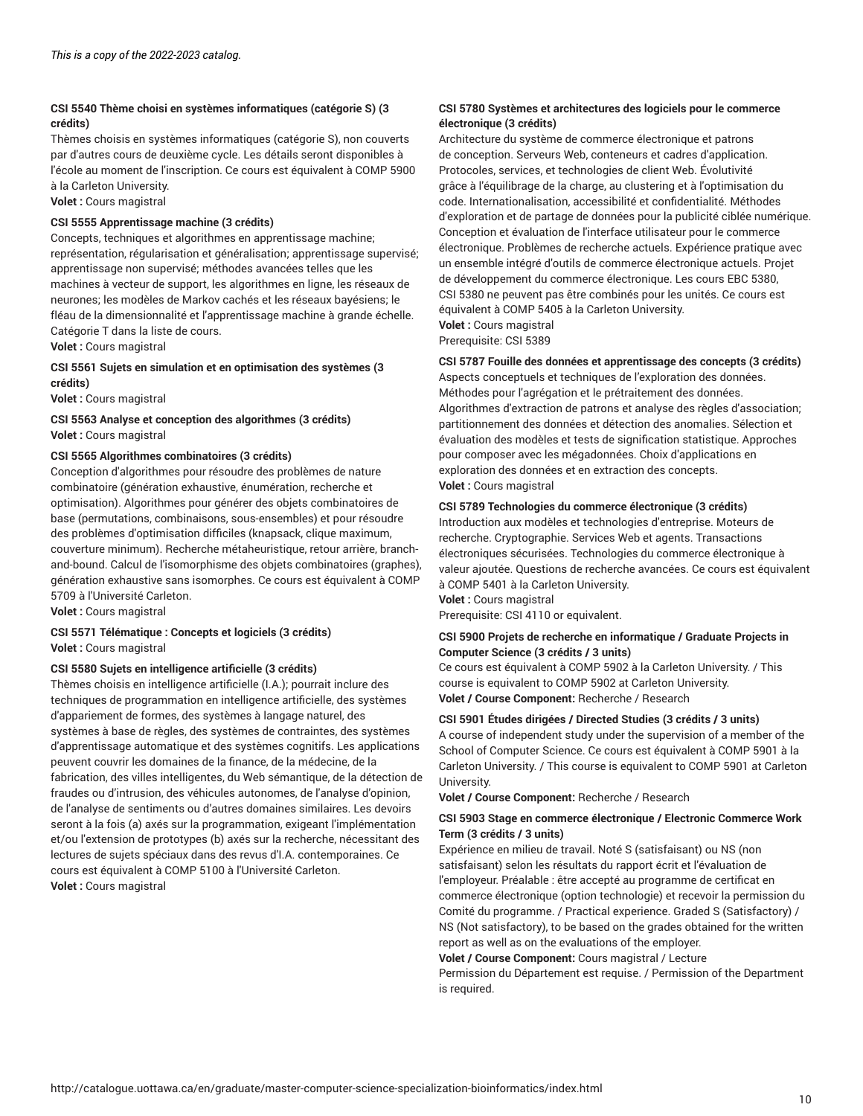#### **CSI 5540 Thème choisi en systèmes informatiques (catégorie S) (3 crédits)**

Thèmes choisis en systèmes informatiques (catégorie S), non couverts par d'autres cours de deuxième cycle. Les détails seront disponibles à l'école au moment de l'inscription. Ce cours est équivalent à COMP 5900 à la Carleton University.

**Volet :** Cours magistral

#### **CSI 5555 Apprentissage machine (3 crédits)**

Concepts, techniques et algorithmes en apprentissage machine; représentation, régularisation et généralisation; apprentissage supervisé; apprentissage non supervisé; méthodes avancées telles que les machines à vecteur de support, les algorithmes en ligne, les réseaux de neurones; les modèles de Markov cachés et les réseaux bayésiens; le fléau de la dimensionnalité et l'apprentissage machine à grande échelle. Catégorie T dans la liste de cours.

**Volet :** Cours magistral

#### **CSI 5561 Sujets en simulation et en optimisation des systèmes (3 crédits)**

**Volet :** Cours magistral

#### **CSI 5563 Analyse et conception des algorithmes (3 crédits) Volet :** Cours magistral

#### **CSI 5565 Algorithmes combinatoires (3 crédits)**

Conception d'algorithmes pour résoudre des problèmes de nature combinatoire (génération exhaustive, énumération, recherche et optimisation). Algorithmes pour générer des objets combinatoires de base (permutations, combinaisons, sous-ensembles) et pour résoudre des problèmes d'optimisation difficiles (knapsack, clique maximum, couverture minimum). Recherche métaheuristique, retour arrière, branchand-bound. Calcul de l'isomorphisme des objets combinatoires (graphes), génération exhaustive sans isomorphes. Ce cours est équivalent à COMP 5709 à l'Université Carleton.

**Volet :** Cours magistral

#### **CSI 5571 Télématique : Concepts et logiciels (3 crédits) Volet :** Cours magistral

#### **CSI 5580 Sujets en intelligence artificielle (3 crédits)**

Thèmes choisis en intelligence artificielle (I.A.); pourrait inclure des techniques de programmation en intelligence artificielle, des systèmes d'appariement de formes, des systèmes à langage naturel, des systèmes à base de règles, des systèmes de contraintes, des systèmes d'apprentissage automatique et des systèmes cognitifs. Les applications peuvent couvrir les domaines de la finance, de la médecine, de la fabrication, des villes intelligentes, du Web sémantique, de la détection de fraudes ou d'intrusion, des véhicules autonomes, de l'analyse d'opinion, de l'analyse de sentiments ou d'autres domaines similaires. Les devoirs seront à la fois (a) axés sur la programmation, exigeant l'implémentation et/ou l'extension de prototypes (b) axés sur la recherche, nécessitant des lectures de sujets spéciaux dans des revus d'I.A. contemporaines. Ce cours est équivalent à COMP 5100 à l'Université Carleton. **Volet :** Cours magistral

#### **CSI 5780 Systèmes et architectures des logiciels pour le commerce électronique (3 crédits)**

Architecture du système de commerce électronique et patrons de conception. Serveurs Web, conteneurs et cadres d'application. Protocoles, services, et technologies de client Web. Évolutivité grâce à l'équilibrage de la charge, au clustering et à l'optimisation du code. Internationalisation, accessibilité et confidentialité. Méthodes d'exploration et de partage de données pour la publicité ciblée numérique. Conception et évaluation de l'interface utilisateur pour le commerce électronique. Problèmes de recherche actuels. Expérience pratique avec un ensemble intégré d'outils de commerce électronique actuels. Projet de développement du commerce électronique. Les cours EBC 5380, CSI 5380 ne peuvent pas être combinés pour les unités. Ce cours est équivalent à COMP 5405 à la Carleton University. **Volet :** Cours magistral Prerequisite: CSI 5389

#### **CSI 5787 Fouille des données et apprentissage des concepts (3 crédits)**

Aspects conceptuels et techniques de l'exploration des données. Méthodes pour l'agrégation et le prétraitement des données. Algorithmes d'extraction de patrons et analyse des règles d'association; partitionnement des données et détection des anomalies. Sélection et évaluation des modèles et tests de signification statistique. Approches pour composer avec les mégadonnées. Choix d'applications en exploration des données et en extraction des concepts. **Volet :** Cours magistral

#### **CSI 5789 Technologies du commerce électronique (3 crédits)**

Introduction aux modèles et technologies d'entreprise. Moteurs de recherche. Cryptographie. Services Web et agents. Transactions électroniques sécurisées. Technologies du commerce électronique à valeur ajoutée. Questions de recherche avancées. Ce cours est équivalent à COMP 5401 à la Carleton University.

**Volet :** Cours magistral Prerequisite: CSI 4110 or equivalent.

#### **CSI 5900 Projets de recherche en informatique / Graduate Projects in Computer Science (3 crédits / 3 units)**

Ce cours est équivalent à COMP 5902 à la Carleton University. / This course is equivalent to COMP 5902 at Carleton University. **Volet / Course Component:** Recherche / Research

#### **CSI 5901 Études dirigées / Directed Studies (3 crédits / 3 units)**

A course of independent study under the supervision of a member of the School of Computer Science. Ce cours est équivalent à COMP 5901 à la Carleton University. / This course is equivalent to COMP 5901 at Carleton University.

**Volet / Course Component:** Recherche / Research

#### **CSI 5903 Stage en commerce électronique / Electronic Commerce Work Term (3 crédits / 3 units)**

Expérience en milieu de travail. Noté S (satisfaisant) ou NS (non satisfaisant) selon les résultats du rapport écrit et l'évaluation de l'employeur. Préalable : être accepté au programme de certificat en commerce électronique (option technologie) et recevoir la permission du Comité du programme. / Practical experience. Graded S (Satisfactory) / NS (Not satisfactory), to be based on the grades obtained for the written report as well as on the evaluations of the employer.

**Volet / Course Component:** Cours magistral / Lecture

Permission du Département est requise. / Permission of the Department is required.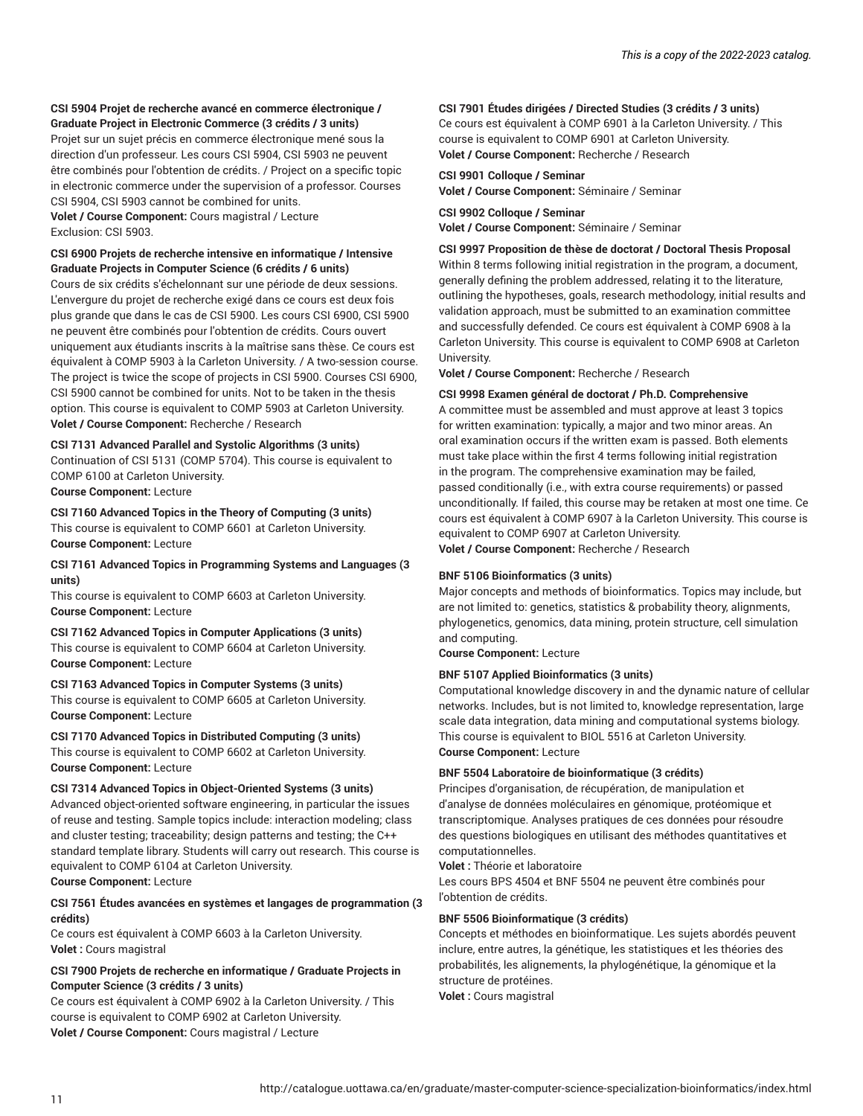#### **CSI 5904 Projet de recherche avancé en commerce électronique / Graduate Project in Electronic Commerce (3 crédits / 3 units)**

Projet sur un sujet précis en commerce électronique mené sous la direction d'un professeur. Les cours CSI 5904, CSI 5903 ne peuvent être combinés pour l'obtention de crédits. / Project on a specific topic in electronic commerce under the supervision of a professor. Courses CSI 5904, CSI 5903 cannot be combined for units.

**Volet / Course Component:** Cours magistral / Lecture Exclusion: CSI 5903.

#### **CSI 6900 Projets de recherche intensive en informatique / Intensive Graduate Projects in Computer Science (6 crédits / 6 units)**

Cours de six crédits s'échelonnant sur une période de deux sessions. L'envergure du projet de recherche exigé dans ce cours est deux fois plus grande que dans le cas de CSI 5900. Les cours CSI 6900, CSI 5900 ne peuvent être combinés pour l'obtention de crédits. Cours ouvert uniquement aux étudiants inscrits à la maîtrise sans thèse. Ce cours est équivalent à COMP 5903 à la Carleton University. / A two-session course. The project is twice the scope of projects in CSI 5900. Courses CSI 6900, CSI 5900 cannot be combined for units. Not to be taken in the thesis option. This course is equivalent to COMP 5903 at Carleton University. **Volet / Course Component:** Recherche / Research

#### **CSI 7131 Advanced Parallel and Systolic Algorithms (3 units)**

Continuation of CSI 5131 (COMP 5704). This course is equivalent to COMP 6100 at Carleton University.

**Course Component:** Lecture

#### **CSI 7160 Advanced Topics in the Theory of Computing (3 units)** This course is equivalent to COMP 6601 at Carleton University. **Course Component:** Lecture

#### **CSI 7161 Advanced Topics in Programming Systems and Languages (3 units)**

This course is equivalent to COMP 6603 at Carleton University. **Course Component:** Lecture

**CSI 7162 Advanced Topics in Computer Applications (3 units)** This course is equivalent to COMP 6604 at Carleton University. **Course Component:** Lecture

#### **CSI 7163 Advanced Topics in Computer Systems (3 units)**

This course is equivalent to COMP 6605 at Carleton University. **Course Component:** Lecture

#### **CSI 7170 Advanced Topics in Distributed Computing (3 units)** This course is equivalent to COMP 6602 at Carleton University. **Course Component:** Lecture

#### **CSI 7314 Advanced Topics in Object-Oriented Systems (3 units)**

Advanced object-oriented software engineering, in particular the issues of reuse and testing. Sample topics include: interaction modeling; class and cluster testing; traceability; design patterns and testing; the C++ standard template library. Students will carry out research. This course is equivalent to COMP 6104 at Carleton University. **Course Component:** Lecture

#### **CSI 7561 Études avancées en systèmes et langages de programmation (3 crédits)**

Ce cours est équivalent à COMP 6603 à la Carleton University. **Volet :** Cours magistral

#### **CSI 7900 Projets de recherche en informatique / Graduate Projects in Computer Science (3 crédits / 3 units)**

Ce cours est équivalent à COMP 6902 à la Carleton University. / This course is equivalent to COMP 6902 at Carleton University. **Volet / Course Component:** Cours magistral / Lecture

#### **CSI 7901 Études dirigées / Directed Studies (3 crédits / 3 units)**

Ce cours est équivalent à COMP 6901 à la Carleton University. / This course is equivalent to COMP 6901 at Carleton University. **Volet / Course Component:** Recherche / Research

#### **CSI 9901 Colloque / Seminar**

**Volet / Course Component:** Séminaire / Seminar

#### **CSI 9902 Colloque / Seminar**

**Volet / Course Component:** Séminaire / Seminar

#### **CSI 9997 Proposition de thèse de doctorat / Doctoral Thesis Proposal**

Within 8 terms following initial registration in the program, a document, generally defining the problem addressed, relating it to the literature, outlining the hypotheses, goals, research methodology, initial results and validation approach, must be submitted to an examination committee and successfully defended. Ce cours est équivalent à COMP 6908 à la Carleton University. This course is equivalent to COMP 6908 at Carleton University.

**Volet / Course Component:** Recherche / Research

#### **CSI 9998 Examen général de doctorat / Ph.D. Comprehensive**

A committee must be assembled and must approve at least 3 topics for written examination: typically, a major and two minor areas. An oral examination occurs if the written exam is passed. Both elements must take place within the first 4 terms following initial registration in the program. The comprehensive examination may be failed, passed conditionally (i.e., with extra course requirements) or passed unconditionally. If failed, this course may be retaken at most one time. Ce cours est équivalent à COMP 6907 à la Carleton University. This course is equivalent to COMP 6907 at Carleton University.

**Volet / Course Component:** Recherche / Research

#### **BNF 5106 Bioinformatics (3 units)**

Major concepts and methods of bioinformatics. Topics may include, but are not limited to: genetics, statistics & probability theory, alignments, phylogenetics, genomics, data mining, protein structure, cell simulation and computing.

**Course Component:** Lecture

#### **BNF 5107 Applied Bioinformatics (3 units)**

Computational knowledge discovery in and the dynamic nature of cellular networks. Includes, but is not limited to, knowledge representation, large scale data integration, data mining and computational systems biology. This course is equivalent to BIOL 5516 at Carleton University. **Course Component:** Lecture

#### **BNF 5504 Laboratoire de bioinformatique (3 crédits)**

Principes d'organisation, de récupération, de manipulation et d'analyse de données moléculaires en génomique, protéomique et transcriptomique. Analyses pratiques de ces données pour résoudre des questions biologiques en utilisant des méthodes quantitatives et computationnelles.

**Volet :** Théorie et laboratoire

Les cours BPS 4504 et BNF 5504 ne peuvent être combinés pour l'obtention de crédits.

#### **BNF 5506 Bioinformatique (3 crédits)**

Concepts et méthodes en bioinformatique. Les sujets abordés peuvent inclure, entre autres, la génétique, les statistiques et les théories des probabilités, les alignements, la phylogénétique, la génomique et la structure de protéines. **Volet :** Cours magistral